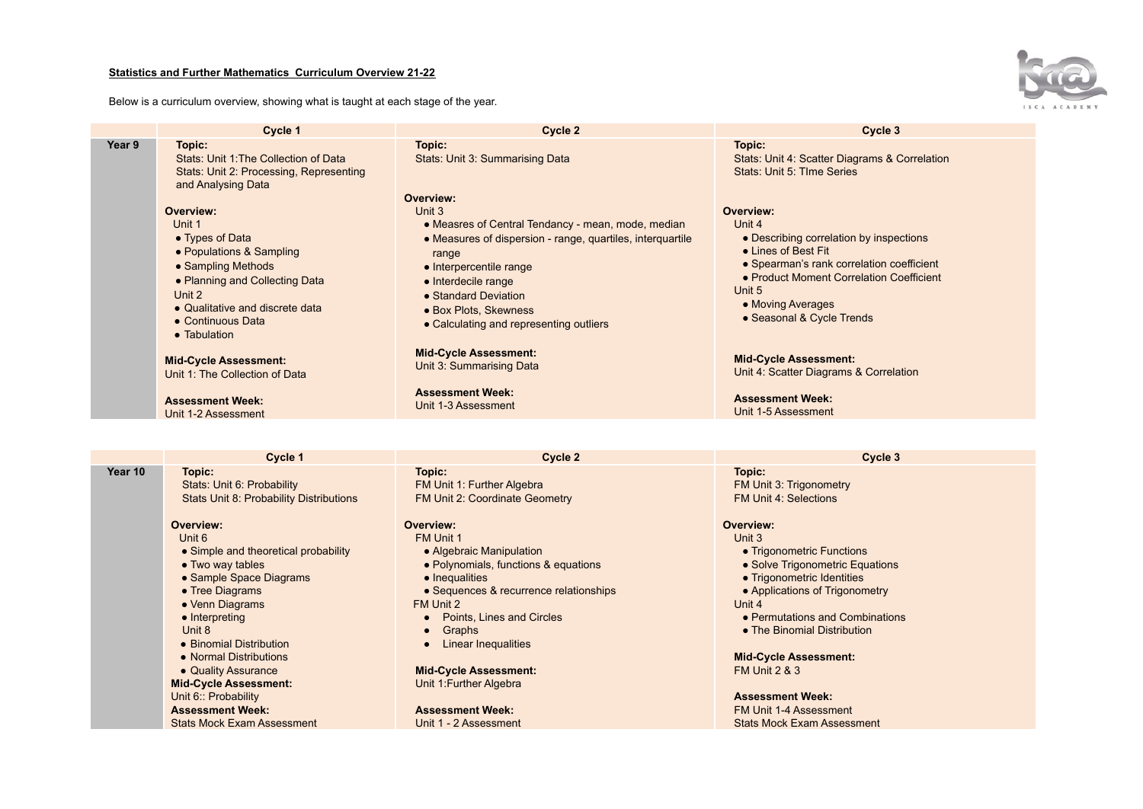## **Statistics and Further Mathematics Curriculum Overview 21-22**

Below is a curriculum overview, showing what is taught at each stage of the year.



|        | Cycle 1                                                                                                                                                                                                      | Cycle 2                                                                                                                                                                                                                                                                                        | Cycle 3                                                                                                                                                                                                                                    |
|--------|--------------------------------------------------------------------------------------------------------------------------------------------------------------------------------------------------------------|------------------------------------------------------------------------------------------------------------------------------------------------------------------------------------------------------------------------------------------------------------------------------------------------|--------------------------------------------------------------------------------------------------------------------------------------------------------------------------------------------------------------------------------------------|
| Year 9 | Topic:<br>Stats: Unit 1: The Collection of Data<br>Stats: Unit 2: Processing, Representing<br>and Analysing Data                                                                                             | Topic:<br>Stats: Unit 3: Summarising Data                                                                                                                                                                                                                                                      | Topic:<br>Stats: Unit 4: Scatter Diagrams & Correlation<br>Stats: Unit 5: TIme Series                                                                                                                                                      |
|        | Overview:<br>Unit 1<br>• Types of Data<br>• Populations & Sampling<br>• Sampling Methods<br>• Planning and Collecting Data<br>Unit 2<br>• Qualitative and discrete data<br>• Continuous Data<br>• Tabulation | Overview:<br>Unit 3<br>• Measres of Central Tendancy - mean, mode, median<br>• Measures of dispersion - range, quartiles, interquartile<br>range<br>• Interpercentile range<br>• Interdecile range<br>• Standard Deviation<br>• Box Plots, Skewness<br>• Calculating and representing outliers | Overview:<br>Unit 4<br>• Describing correlation by inspections<br>• Lines of Best Fit<br>• Spearman's rank correlation coefficient<br>• Product Moment Correlation Coefficient<br>Unit 5<br>• Moving Averages<br>• Seasonal & Cycle Trends |
|        | <b>Mid-Cycle Assessment:</b><br>Unit 1: The Collection of Data                                                                                                                                               | <b>Mid-Cycle Assessment:</b><br>Unit 3: Summarising Data                                                                                                                                                                                                                                       | <b>Mid-Cycle Assessment:</b><br>Unit 4: Scatter Diagrams & Correlation                                                                                                                                                                     |
|        | <b>Assessment Week:</b><br>Unit 1-2 Assessment                                                                                                                                                               | <b>Assessment Week:</b><br>Unit 1-3 Assessment                                                                                                                                                                                                                                                 | <b>Assessment Week:</b><br>Unit 1-5 Assessment                                                                                                                                                                                             |

|         | Cycle 1                                                                                                                                                                                                                                                                                                                  | Cycle 2                                                                                                                                                                                                                                                                                                   | Cycle 3                                                                                                                                                                                                                                                                                                                |
|---------|--------------------------------------------------------------------------------------------------------------------------------------------------------------------------------------------------------------------------------------------------------------------------------------------------------------------------|-----------------------------------------------------------------------------------------------------------------------------------------------------------------------------------------------------------------------------------------------------------------------------------------------------------|------------------------------------------------------------------------------------------------------------------------------------------------------------------------------------------------------------------------------------------------------------------------------------------------------------------------|
| Year 10 | Topic:                                                                                                                                                                                                                                                                                                                   | Topic:                                                                                                                                                                                                                                                                                                    | Topic:                                                                                                                                                                                                                                                                                                                 |
|         | Stats: Unit 6: Probability                                                                                                                                                                                                                                                                                               | FM Unit 1: Further Algebra                                                                                                                                                                                                                                                                                | FM Unit 3: Trigonometry                                                                                                                                                                                                                                                                                                |
|         | Stats Unit 8: Probability Distributions                                                                                                                                                                                                                                                                                  | FM Unit 2: Coordinate Geometry                                                                                                                                                                                                                                                                            | <b>FM Unit 4: Selections</b>                                                                                                                                                                                                                                                                                           |
|         | Overview:<br>Unit 6<br>• Simple and theoretical probability<br>• Two way tables<br>• Sample Space Diagrams<br>• Tree Diagrams<br>• Venn Diagrams<br>$\bullet$ Interpreting<br>Unit 8<br>• Binomial Distribution<br>• Normal Distributions<br>• Quality Assurance<br><b>Mid-Cycle Assessment:</b><br>Unit 6:: Probability | Overview:<br>FM Unit 1<br>• Algebraic Manipulation<br>• Polynomials, functions & equations<br>• Inequalities<br>• Sequences & recurrence relationships<br>FM Unit 2<br>Points, Lines and Circles<br>Graphs<br>$\bullet$<br>Linear Inequalities<br><b>Mid-Cycle Assessment:</b><br>Unit 1: Further Algebra | Overview:<br>Unit 3<br>• Trigonometric Functions<br>• Solve Trigonometric Equations<br>• Trigonometric Identities<br>• Applications of Trigonometry<br>Unit 4<br>• Permutations and Combinations<br>• The Binomial Distribution<br><b>Mid-Cycle Assessment:</b><br><b>FM Unit 2 &amp; 3</b><br><b>Assessment Week:</b> |
|         | <b>Assessment Week:</b>                                                                                                                                                                                                                                                                                                  | <b>Assessment Week:</b>                                                                                                                                                                                                                                                                                   | FM Unit 1-4 Assessment                                                                                                                                                                                                                                                                                                 |
|         | <b>Stats Mock Exam Assessment</b>                                                                                                                                                                                                                                                                                        | Unit 1 - 2 Assessment                                                                                                                                                                                                                                                                                     | <b>Stats Mock Exam Assessment</b>                                                                                                                                                                                                                                                                                      |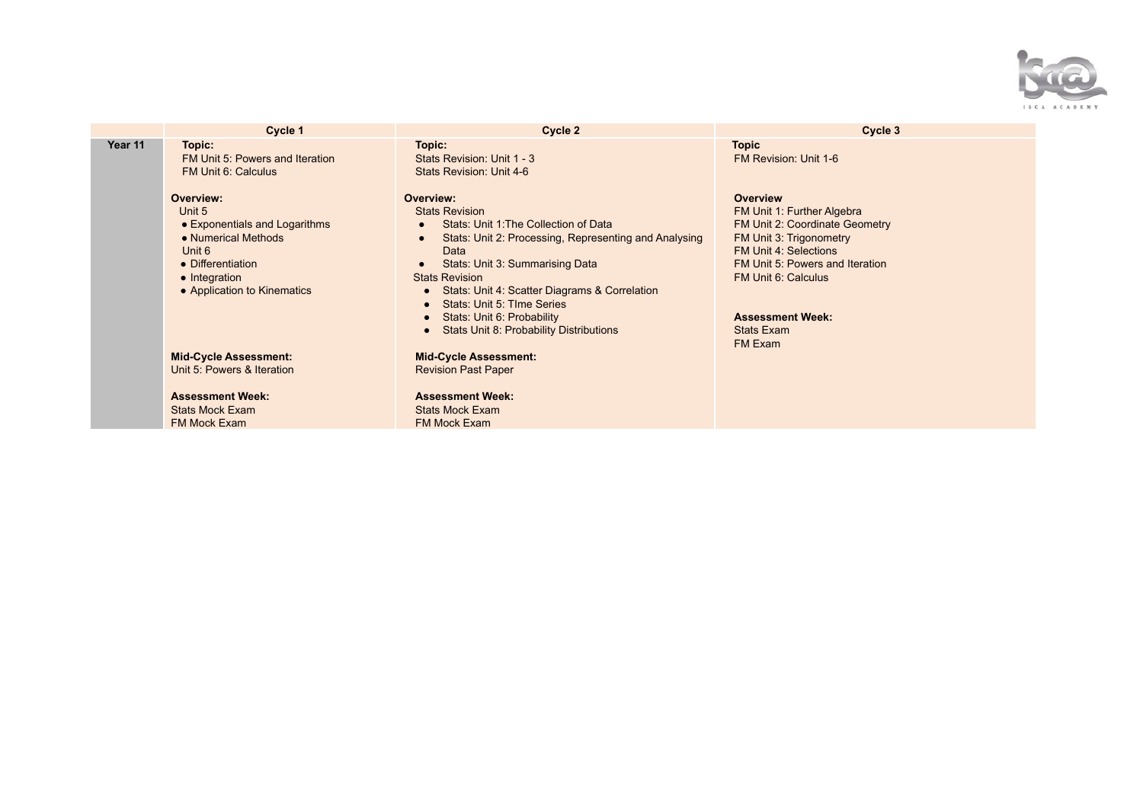

|         | Cycle 1                                                                                                                                                    | Cycle 2                                                                                                                                                                                                                                                                                                                                                                 | Cycle 3                                                                                                                                                                                                                                                         |
|---------|------------------------------------------------------------------------------------------------------------------------------------------------------------|-------------------------------------------------------------------------------------------------------------------------------------------------------------------------------------------------------------------------------------------------------------------------------------------------------------------------------------------------------------------------|-----------------------------------------------------------------------------------------------------------------------------------------------------------------------------------------------------------------------------------------------------------------|
| Year 11 | Topic:<br>FM Unit 5: Powers and Iteration<br>FM Unit 6: Calculus                                                                                           | Topic:<br>Stats Revision: Unit 1 - 3<br>Stats Revision: Unit 4-6                                                                                                                                                                                                                                                                                                        | <b>Topic</b><br>FM Revision: Unit 1-6                                                                                                                                                                                                                           |
|         | Overview:<br>Unit 5<br>• Exponentials and Logarithms<br>• Numerical Methods<br>Unit 6<br>• Differentiation<br>• Integration<br>• Application to Kinematics | Overview:<br><b>Stats Revision</b><br>Stats: Unit 1: The Collection of Data<br>Stats: Unit 2: Processing, Representing and Analysing<br>Data<br>Stats: Unit 3: Summarising Data<br><b>Stats Revision</b><br>Stats: Unit 4: Scatter Diagrams & Correlation<br>Stats: Unit 5: TIme Series<br>Stats: Unit 6: Probability<br><b>Stats Unit 8: Probability Distributions</b> | <b>Overview</b><br>FM Unit 1: Further Algebra<br>FM Unit 2: Coordinate Geometry<br>FM Unit 3: Trigonometry<br><b>FM Unit 4: Selections</b><br>FM Unit 5: Powers and Iteration<br>FM Unit 6: Calculus<br><b>Assessment Week:</b><br><b>Stats Exam</b><br>FM Exam |
|         | <b>Mid-Cycle Assessment:</b><br>Unit 5: Powers & Iteration                                                                                                 | <b>Mid-Cycle Assessment:</b><br><b>Revision Past Paper</b>                                                                                                                                                                                                                                                                                                              |                                                                                                                                                                                                                                                                 |
|         | <b>Assessment Week:</b><br><b>Stats Mock Exam</b><br>FM Mock Exam                                                                                          | <b>Assessment Week:</b><br><b>Stats Mock Exam</b><br><b>FM Mock Exam</b>                                                                                                                                                                                                                                                                                                |                                                                                                                                                                                                                                                                 |